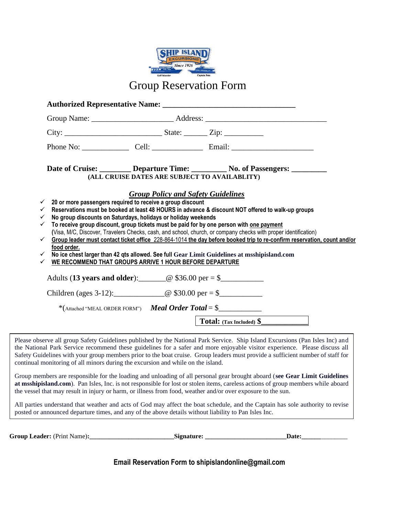

|                                                                              |                                                                                                                             | Date of Cruise: <u>Departure Time: No. of Passengers:</u><br>(ALL CRUISE DATES ARE SUBJECT TO AVAILABLITY)                                                                                                                                                                                                                                                                                                                                                                               |
|------------------------------------------------------------------------------|-----------------------------------------------------------------------------------------------------------------------------|------------------------------------------------------------------------------------------------------------------------------------------------------------------------------------------------------------------------------------------------------------------------------------------------------------------------------------------------------------------------------------------------------------------------------------------------------------------------------------------|
| $\checkmark$<br>$\checkmark$<br>$\checkmark$<br>$\checkmark$<br>$\checkmark$ | 20 or more passengers required to receive a group discount<br>No group discounts on Saturdays, holidays or holiday weekends | <b>Group Policy and Safety Guidelines</b><br>Reservations must be booked at least 48 HOURS in advance & discount NOT offered to walk-up groups<br>To receive group discount, group tickets must be paid for by one person with one payment<br>(Visa, M/C, Discover, Travelers Checks, cash, and school, church, or company checks with proper identification)<br>Group leader must contact ticket office 228-864-1014 the day before booked trip to re-confirm reservation, count and/or |
| food order.<br>$\checkmark$<br>✓                                             | WE RECOMMEND THAT GROUPS ARRIVE 1 HOUR BEFORE DEPARTURE                                                                     | No ice chest larger than 42 qts allowed. See full Gear Limit Guidelines at msshipisland.com                                                                                                                                                                                                                                                                                                                                                                                              |
|                                                                              |                                                                                                                             | Adults (13 years and older): $\qquad \qquad @ $36.00 \text{ per} = $$                                                                                                                                                                                                                                                                                                                                                                                                                    |
|                                                                              |                                                                                                                             | Children (ages 3-12): $@ $30.00 \text{ per} = $$                                                                                                                                                                                                                                                                                                                                                                                                                                         |
|                                                                              |                                                                                                                             | *(Attached "MEAL ORDER FORM") Meal Order Total = $\frac{1}{2}$                                                                                                                                                                                                                                                                                                                                                                                                                           |
|                                                                              |                                                                                                                             |                                                                                                                                                                                                                                                                                                                                                                                                                                                                                          |
|                                                                              |                                                                                                                             | Total: (Tax Included) \$                                                                                                                                                                                                                                                                                                                                                                                                                                                                 |

Group members are responsible for the loading and unloading of all personal gear brought aboard (**see Gear Limit Guidelines at msshipisland.com**). Pan Isles, Inc. is not responsible for lost or stolen items, careless actions of group members while aboard the vessel that may result in injury or harm, or illness from food, weather and/or over exposure to the sun.

All parties understand that weather and acts of God may affect the boat schedule, and the Captain has sole authority to revise posted or announced departure times, and any of the above details without liability to Pan Isles Inc.

**Group Leader:** (Print Name)**:\_\_\_\_\_\_\_\_\_\_\_\_\_\_\_\_\_\_\_\_\_\_\_\_\_\_Signature: \_\_\_\_\_\_\_\_\_\_\_\_\_\_\_\_\_\_\_\_\_\_\_\_\_Date:\_\_\_\_\_\_**\_\_\_\_\_\_\_\_

**Email Reservation Form to shipislandonline@gmail.com**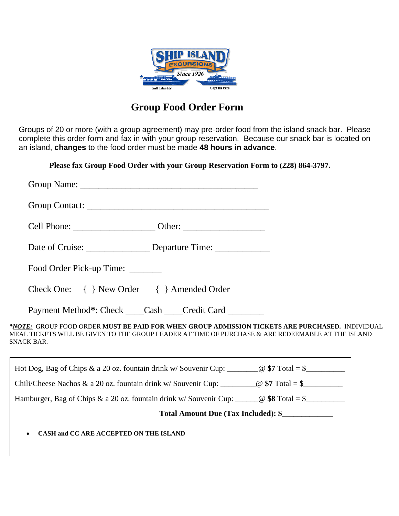

# **Group Food Order Form**

Groups of 20 or more (with a group agreement) may pre-order food from the island snack bar. Please complete this order form and fax in with your group reservation. Because our snack bar is located on an island, **changes** to the food order must be made **48 hours in advance**.

**Please fax Group Food Order with your Group Reservation Form to (228) 864-3797.**

| * <u>NOTE:</u> GROUP FOOD ORDER MUST BE PAID FOR WHEN GROUP ADMISSION TICKETS ARE PURCHASED. INDIVIDUAL<br>MEAL TICKETS WILL BE GIVEN TO THE GROUP LEADER AT TIME OF PURCHASE & ARE REDEEMABLE AT THE ISLAND |
|--------------------------------------------------------------------------------------------------------------------------------------------------------------------------------------------------------------|
|                                                                                                                                                                                                              |
|                                                                                                                                                                                                              |
| Hamburger, Bag of Chips & a 20 oz. fountain drink w/ Souvenir Cup: ______@ \$8 Total = \$____________                                                                                                        |
| Total Amount Due (Tax Included): \$                                                                                                                                                                          |
|                                                                                                                                                                                                              |
|                                                                                                                                                                                                              |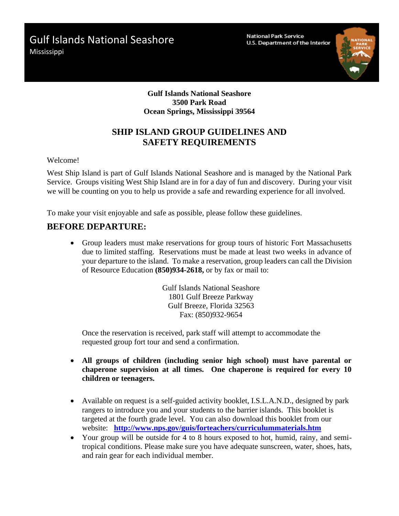Gulf Islands National Seashore

Mississippi

**National Park Service** U.S. Department of the Interior



#### **Gulf Islands National Seashore 3500 Park Road Ocean Springs, Mississippi 39564**

### **SHIP ISLAND GROUP GUIDELINES AND SAFETY REQUIREMENTS**

Welcome!

West Ship Island is part of Gulf Islands National Seashore and is managed by the National Park Service. Groups visiting West Ship Island are in for a day of fun and discovery. During your visit we will be counting on you to help us provide a safe and rewarding experience for all involved.

To make your visit enjoyable and safe as possible, please follow these guidelines.

#### **BEFORE DEPARTURE:**

• Group leaders must make reservations for group tours of historic Fort Massachusetts due to limited staffing. Reservations must be made at least two weeks in advance of your departure to the island. To make a reservation, group leaders can call the Division of Resource Education **(850)934-2618,** or by fax or mail to:

> Gulf Islands National Seashore 1801 Gulf Breeze Parkway Gulf Breeze, Florida 32563 Fax: (850)932-9654

Once the reservation is received, park staff will attempt to accommodate the requested group fort tour and send a confirmation.

- **All groups of children (including senior high school) must have parental or chaperone supervision at all times. One chaperone is required for every 10 children or teenagers.**
- Available on request is a self-guided activity booklet, I.S.L.A.N.D., designed by park rangers to introduce you and your students to the barrier islands. This booklet is targeted at the fourth grade level. You can also download this booklet from our website: **<http://www.nps.gov/guis/forteachers/curriculummaterials.htm>**
- Your group will be outside for 4 to 8 hours exposed to hot, humid, rainy, and semitropical conditions. Please make sure you have adequate sunscreen, water, shoes, hats, and rain gear for each individual member.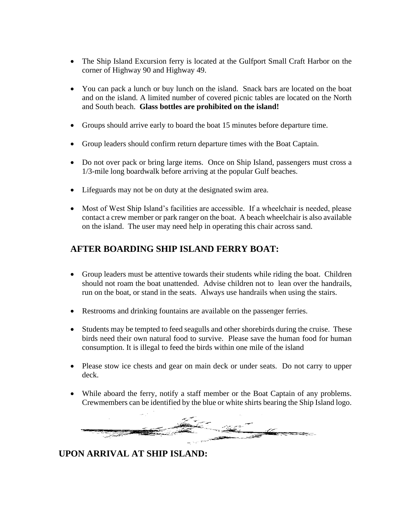- The Ship Island Excursion ferry is located at the Gulfport Small Craft Harbor on the corner of Highway 90 and Highway 49.
- You can pack a lunch or buy lunch on the island. Snack bars are located on the boat and on the island. A limited number of covered picnic tables are located on the North and South beach. **Glass bottles are prohibited on the island!**
- Groups should arrive early to board the boat 15 minutes before departure time.
- Group leaders should confirm return departure times with the Boat Captain.
- Do not over pack or bring large items. Once on Ship Island, passengers must cross a 1/3-mile long boardwalk before arriving at the popular Gulf beaches.
- Lifeguards may not be on duty at the designated swim area.
- Most of West Ship Island's facilities are accessible. If a wheelchair is needed, please contact a crew member or park ranger on the boat. A beach wheelchair is also available on the island. The user may need help in operating this chair across sand.

#### **AFTER BOARDING SHIP ISLAND FERRY BOAT:**

- Group leaders must be attentive towards their students while riding the boat. Children should not roam the boat unattended. Advise children not to lean over the handrails, run on the boat, or stand in the seats. Always use handrails when using the stairs.
- Restrooms and drinking fountains are available on the passenger ferries.
- Students may be tempted to feed seagulls and other shorebirds during the cruise. These birds need their own natural food to survive. Please save the human food for human consumption. It is illegal to feed the birds within one mile of the island
- Please stow ice chests and gear on main deck or under seats. Do not carry to upper deck.
- While aboard the ferry, notify a staff member or the Boat Captain of any problems. Crewmembers can be identified by the blue or white shirts bearing the Ship Island logo.



#### **UPON ARRIVAL AT SHIP ISLAND:**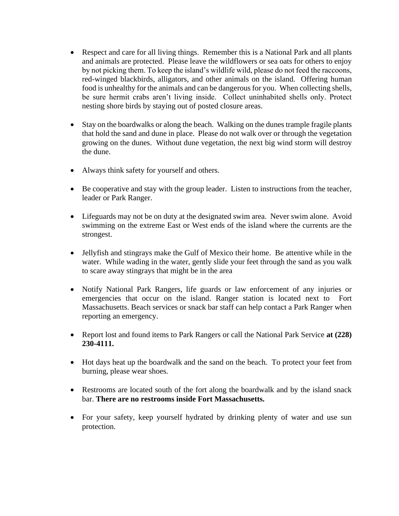- Respect and care for all living things. Remember this is a National Park and all plants and animals are protected. Please leave the wildflowers or sea oats for others to enjoy by not picking them. To keep the island's wildlife wild, please do not feed the raccoons, red-winged blackbirds, alligators, and other animals on the island. Offering human food is unhealthy for the animals and can be dangerous for you. When collecting shells, be sure hermit crabs aren't living inside. Collect uninhabited shells only. Protect nesting shore birds by staying out of posted closure areas.
- Stay on the boardwalks or along the beach. Walking on the dunes trample fragile plants that hold the sand and dune in place. Please do not walk over or through the vegetation growing on the dunes. Without dune vegetation, the next big wind storm will destroy the dune.
- Always think safety for yourself and others.
- Be cooperative and stay with the group leader. Listen to instructions from the teacher, leader or Park Ranger.
- Lifeguards may not be on duty at the designated swim area. Never swim alone. Avoid swimming on the extreme East or West ends of the island where the currents are the strongest.
- Jellyfish and stingrays make the Gulf of Mexico their home. Be attentive while in the water. While wading in the water, gently slide your feet through the sand as you walk to scare away stingrays that might be in the area
- Notify National Park Rangers, life guards or law enforcement of any injuries or emergencies that occur on the island. Ranger station is located next to Fort Massachusetts. Beach services or snack bar staff can help contact a Park Ranger when reporting an emergency.
- Report lost and found items to Park Rangers or call the National Park Service **at (228) 230-4111.**
- Hot days heat up the boardwalk and the sand on the beach. To protect your feet from burning, please wear shoes.
- Restrooms are located south of the fort along the boardwalk and by the island snack bar. **There are no restrooms inside Fort Massachusetts.**
- For your safety, keep yourself hydrated by drinking plenty of water and use sun protection.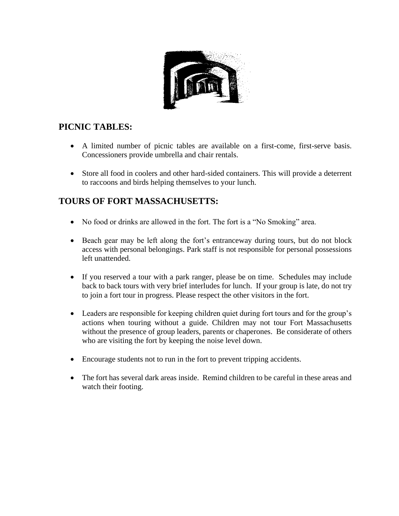

### **PICNIC TABLES:**

- A limited number of picnic tables are available on a first-come, first-serve basis. Concessioners provide umbrella and chair rentals.
- Store all food in coolers and other hard-sided containers. This will provide a deterrent to raccoons and birds helping themselves to your lunch.

## **TOURS OF FORT MASSACHUSETTS:**

- No food or drinks are allowed in the fort. The fort is a "No Smoking" area.
- Beach gear may be left along the fort's entranceway during tours, but do not block access with personal belongings. Park staff is not responsible for personal possessions left unattended.
- If you reserved a tour with a park ranger, please be on time. Schedules may include back to back tours with very brief interludes for lunch. If your group is late, do not try to join a fort tour in progress. Please respect the other visitors in the fort.
- Leaders are responsible for keeping children quiet during fort tours and for the group's actions when touring without a guide. Children may not tour Fort Massachusetts without the presence of group leaders, parents or chaperones. Be considerate of others who are visiting the fort by keeping the noise level down.
- Encourage students not to run in the fort to prevent tripping accidents.
- The fort has several dark areas inside. Remind children to be careful in these areas and watch their footing.